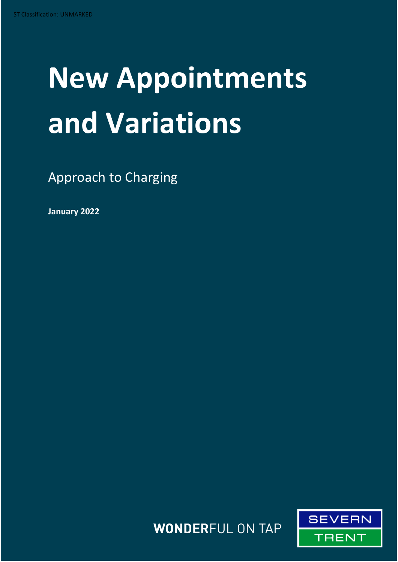# **New Appointments and Variations**

Approach to Charging

**January 2022**

**WONDERFUL ON TAP** 

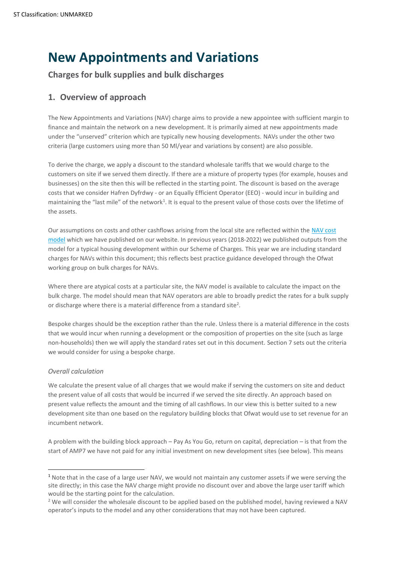# **New Appointments and Variations**

**Charges for bulk supplies and bulk discharges**

# **1. Overview of approach**

The New Appointments and Variations (NAV) charge aims to provide a new appointee with sufficient margin to finance and maintain the network on a new development. It is primarily aimed at new appointments made under the "unserved" criterion which are typically new housing developments. NAVs under the other two criteria (large customers using more than 50 Ml/year and variations by consent) are also possible.

To derive the charge, we apply a discount to the standard wholesale tariffs that we would charge to the customers on site if we served them directly. If there are a mixture of property types (for example, houses and businesses) on the site then this will be reflected in the starting point. The discount is based on the average costs that we consider Hafren Dyfrdwy - or an Equally Efficient Operator (EEO) - would incur in building and maintaining the "last mile" of the network<sup>1</sup>. It is equal to the present value of those costs over the lifetime of the assets.

Our assumptions on costs and other cashflows arising from the local site are reflected within the [NAV cost](https://www.hdcymru.co.uk/businesses/charges/tariffs-and-charges/)  [model](https://www.hdcymru.co.uk/businesses/charges/tariffs-and-charges/) which we have published on our website. In previous years (2018-2022) we published outputs from the model for a typical housing development within our Scheme of Charges. This year we are including standard charges for NAVs within this document; this reflects best practice guidance developed through the Ofwat working group on bulk charges for NAVs.

Where there are atypical costs at a particular site, the NAV model is available to calculate the impact on the bulk charge. The model should mean that NAV operators are able to broadly predict the rates for a bulk supply or discharge where there is a material difference from a standard site<sup>2</sup>.

Bespoke charges should be the exception rather than the rule. Unless there is a material difference in the costs that we would incur when running a development or the composition of properties on the site (such as large non-households) then we will apply the standard rates set out in this document. Section 7 sets out the criteria we would consider for using a bespoke charge.

# *Overall calculation*

We calculate the present value of all charges that we would make if serving the customers on site and deduct the present value of all costs that would be incurred if we served the site directly. An approach based on present value reflects the amount and the timing of all cashflows. In our view this is better suited to a new development site than one based on the regulatory building blocks that Ofwat would use to set revenue for an incumbent network.

A problem with the building block approach – Pay As You Go, return on capital, depreciation – is that from the start of AMP7 we have not paid for any initial investment on new development sites (see below). This means

<sup>1</sup> Note that in the case of a large user NAV, we would not maintain any customer assets if we were serving the site directly; in this case the NAV charge might provide no discount over and above the large user tariff which would be the starting point for the calculation.

<sup>&</sup>lt;sup>2</sup> We will consider the wholesale discount to be applied based on the published model, having reviewed a NAV operator's inputs to the model and any other considerations that may not have been captured.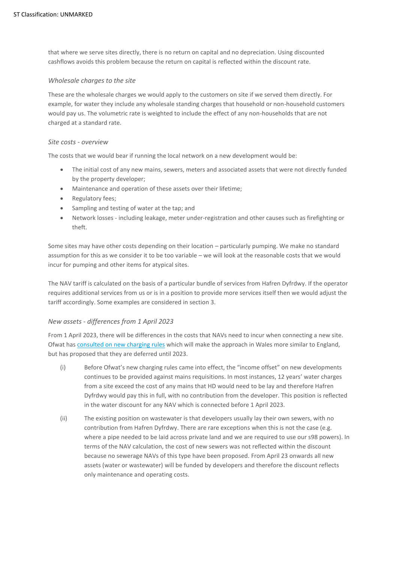that where we serve sites directly, there is no return on capital and no depreciation. Using discounted cashflows avoids this problem because the return on capital is reflected within the discount rate.

## *Wholesale charges to the site*

These are the wholesale charges we would apply to the customers on site if we served them directly. For example, for water they include any wholesale standing charges that household or non-household customers would pay us. The volumetric rate is weighted to include the effect of any non-households that are not charged at a standard rate.

#### *Site costs - overview*

The costs that we would bear if running the local network on a new development would be:

- The initial cost of any new mains, sewers, meters and associated assets that were not directly funded by the property developer;
- Maintenance and operation of these assets over their lifetime;
- Regulatory fees;
- Sampling and testing of water at the tap; and
- Network losses including leakage, meter under-registration and other causes such as firefighting or theft.

Some sites may have other costs depending on their location – particularly pumping. We make no standard assumption for this as we consider it to be too variable – we will look at the reasonable costs that we would incur for pumping and other items for atypical sites.

The NAV tariff is calculated on the basis of a particular bundle of services from Hafren Dyfrdwy. If the operator requires additional services from us or is in a position to provide more services itself then we would adjust the tariff accordingly. Some examples are considered in section 3.

# <span id="page-2-0"></span>*New assets - differences from 1 April 2023*

From 1 April 2023, there will be differences in the costs that NAVs need to incur when connecting a new site. Ofwat ha[s consulted on new charging rules](https://www.ofwat.gov.uk/wp-content/uploads/2021/02/Decision-document-on-DS-charging-rules-for-Welsh-companies.pdf) which will make the approach in Wales more similar to England, but has proposed that they are deferred until 2023.

- (i) Before Ofwat's new charging rules came into effect, the "income offset" on new developments continues to be provided against mains requisitions. In most instances, 12 years' water charges from a site exceed the cost of any mains that HD would need to be lay and therefore Hafren Dyfrdwy would pay this in full, with no contribution from the developer. This position is reflected in the water discount for any NAV which is connected before 1 April 2023.
- (ii) The existing position on wastewater is that developers usually lay their own sewers, with no contribution from Hafren Dyfrdwy. There are rare exceptions when this is not the case (e.g. where a pipe needed to be laid across private land and we are required to use our s98 powers). In terms of the NAV calculation, the cost of new sewers was not reflected within the discount because no sewerage NAVs of this type have been proposed. From April 23 onwards all new assets (water or wastewater) will be funded by developers and therefore the discount reflects only maintenance and operating costs.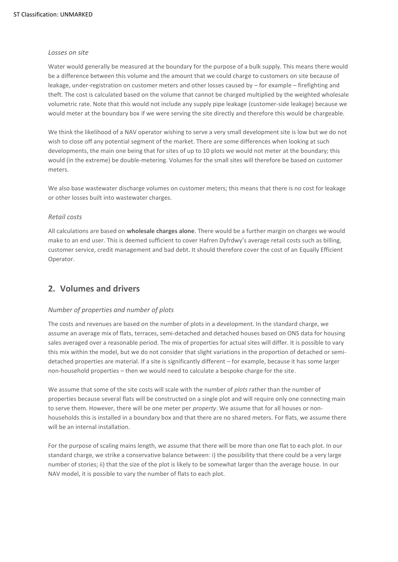#### *Losses on site*

Water would generally be measured at the boundary for the purpose of a bulk supply. This means there would be a difference between this volume and the amount that we could charge to customers on site because of leakage, under-registration on customer meters and other losses caused by – for example – firefighting and theft. The cost is calculated based on the volume that cannot be charged multiplied by the weighted wholesale volumetric rate. Note that this would not include any supply pipe leakage (customer-side leakage) because we would meter at the boundary box if we were serving the site directly and therefore this would be chargeable.

We think the likelihood of a NAV operator wishing to serve a very small development site is low but we do not wish to close off any potential segment of the market. There are some differences when looking at such developments, the main one being that for sites of up to 10 plots we would not meter at the boundary; this would (in the extreme) be double-metering. Volumes for the small sites will therefore be based on customer meters.

We also base wastewater discharge volumes on customer meters; this means that there is no cost for leakage or other losses built into wastewater charges.

# *Retail costs*

All calculations are based on **wholesale charges alone**. There would be a further margin on charges we would make to an end user. This is deemed sufficient to cover Hafren Dyfrdwy's average retail costs such as billing, customer service, credit management and bad debt. It should therefore cover the cost of an Equally Efficient Operator.

# **2. Volumes and drivers**

# *Number of properties and number of plots*

The costs and revenues are based on the number of plots in a development. In the standard charge, we assume an average mix of flats, terraces, semi-detached and detached houses based on ONS data for housing sales averaged over a reasonable period. The mix of properties for actual sites will differ. It is possible to vary this mix within the model, but we do not consider that slight variations in the proportion of detached or semidetached properties are material. If a site is significantly different – for example, because it has some larger non-household properties – then we would need to calculate a bespoke charge for the site.

We assume that some of the site costs will scale with the number of *plots* rather than the number of properties because several flats will be constructed on a single plot and will require only one connecting main to serve them. However, there will be one meter per *property*. We assume that for all houses or nonhouseholds this is installed in a boundary box and that there are no shared meters. For flats, we assume there will be an internal installation.

For the purpose of scaling mains length, we assume that there will be more than one flat to each plot. In our standard charge, we strike a conservative balance between: i) the possibility that there could be a very large number of stories; ii) that the size of the plot is likely to be somewhat larger than the average house. In our NAV model, it is possible to vary the number of flats to each plot.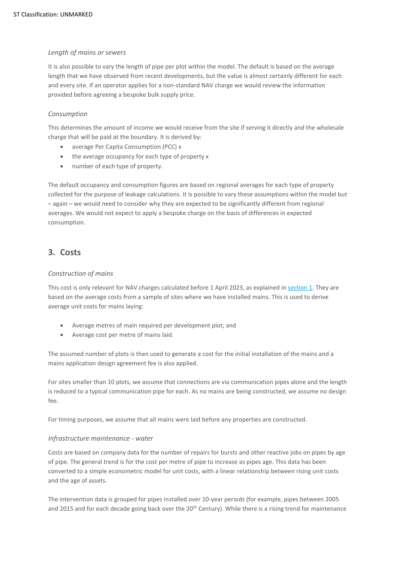# *Length of mains or sewers*

It is also possible to vary the length of pipe per plot within the model. The default is based on the average length that we have observed from recent developments, but the value is almost certainly different for each and every site. If an operator applies for a non-standard NAV charge we would review the information provided before agreeing a bespoke bulk supply price.

# *Consumption*

This determines the amount of income we would receive from the site if serving it directly and the wholesale charge that will be paid at the boundary. It is derived by:

- average Per Capita Consumption (PCC) x
- the average occupancy for each type of property x
- number of each type of property.

The default occupancy and consumption figures are based on regional averages for each type of property collected for the purpose of leakage calculations. It is possible to vary these assumptions within the model but – again – we would need to consider why they are expected to be significantly different from regional averages. We would not expect to apply a bespoke charge on the basis of differences in expected consumption.

# **3. Costs**

# *Construction of mains*

This cost is only relevant for NAV charges calculated before 1 April 2023, as explained i[n section 1.](#page-2-0) They are based on the average costs from a sample of sites where we have installed mains. This is used to derive average unit costs for mains laying:

- Average metres of main required per development plot; and
- Average cost per metre of mains laid.

The assumed number of plots is then used to generate a cost for the initial installation of the mains and a mains application design agreement fee is also applied.

For sites smaller than 10 plots, we assume that connections are via communication pipes alone and the length is reduced to a typical communication pipe for each. As no mains are being constructed, we assume no design fee.

For timing purposes, we assume that all mains were laid before any properties are constructed.

#### *Infrastructure maintenance - water*

Costs are based on company data for the number of repairs for bursts and other reactive jobs on pipes by age of pipe. The general trend is for the cost per metre of pipe to increase as pipes age. This data has been converted to a simple econometric model for unit costs, with a linear relationship between rising unit costs and the age of assets.

The intervention data is grouped for pipes installed over 10-year periods (for example, pipes between 2005 and 2015 and for each decade going back over the 20<sup>th</sup> Century). While there is a rising trend for maintenance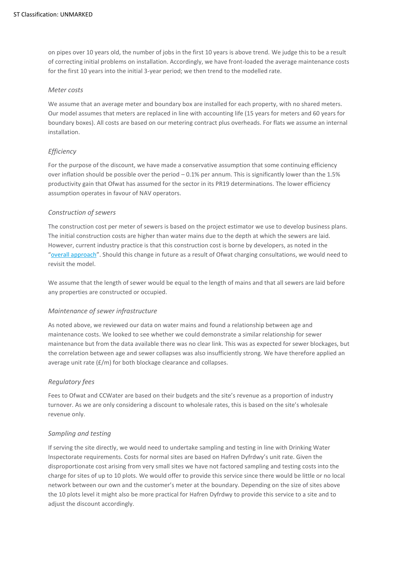on pipes over 10 years old, the number of jobs in the first 10 years is above trend. We judge this to be a result of correcting initial problems on installation. Accordingly, we have front-loaded the average maintenance costs for the first 10 years into the initial 3-year period; we then trend to the modelled rate.

#### *Meter costs*

We assume that an average meter and boundary box are installed for each property, with no shared meters. Our model assumes that meters are replaced in line with accounting life (15 years for meters and 60 years for boundary boxes). All costs are based on our metering contract plus overheads. For flats we assume an internal installation.

# *Efficiency*

For the purpose of the discount, we have made a conservative assumption that some continuing efficiency over inflation should be possible over the period – 0.1% per annum. This is significantly lower than the 1.5% productivity gain that Ofwat has assumed for the sector in its PR19 determinations. The lower efficiency assumption operates in favour of NAV operators.

# *Construction of sewers*

The construction cost per meter of sewers is based on the project estimator we use to develop business plans. The initial construction costs are higher than water mains due to the depth at which the sewers are laid. However, current industry practice is that this construction cost is borne by developers, as noted in the "[overall approach](#page-2-0)". Should this change in future as a result of Ofwat charging consultations, we would need to revisit the model.

We assume that the length of sewer would be equal to the length of mains and that all sewers are laid before any properties are constructed or occupied.

# *Maintenance of sewer infrastructure*

As noted above, we reviewed our data on water mains and found a relationship between age and maintenance costs. We looked to see whether we could demonstrate a similar relationship for sewer maintenance but from the data available there was no clear link. This was as expected for sewer blockages, but the correlation between age and sewer collapses was also insufficiently strong. We have therefore applied an average unit rate (£/m) for both blockage clearance and collapses.

# *Regulatory fees*

Fees to Ofwat and CCWater are based on their budgets and the site's revenue as a proportion of industry turnover. As we are only considering a discount to wholesale rates, this is based on the site's wholesale revenue only.

# *Sampling and testing*

If serving the site directly, we would need to undertake sampling and testing in line with Drinking Water Inspectorate requirements. Costs for normal sites are based on Hafren Dyfrdwy's unit rate. Given the disproportionate cost arising from very small sites we have not factored sampling and testing costs into the charge for sites of up to 10 plots. We would offer to provide this service since there would be little or no local network between our own and the customer's meter at the boundary. Depending on the size of sites above the 10 plots level it might also be more practical for Hafren Dyfrdwy to provide this service to a site and to adjust the discount accordingly.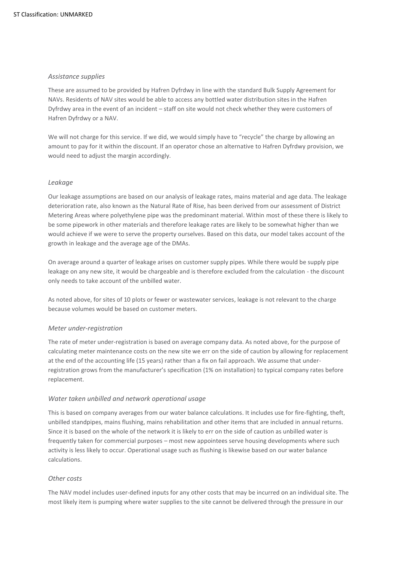# *Assistance supplies*

These are assumed to be provided by Hafren Dyfrdwy in line with the standard Bulk Supply Agreement for NAVs. Residents of NAV sites would be able to access any bottled water distribution sites in the Hafren Dyfrdwy area in the event of an incident – staff on site would not check whether they were customers of Hafren Dyfrdwy or a NAV.

We will not charge for this service. If we did, we would simply have to "recycle" the charge by allowing an amount to pay for it within the discount. If an operator chose an alternative to Hafren Dyfrdwy provision, we would need to adjust the margin accordingly.

# *Leakage*

Our leakage assumptions are based on our analysis of leakage rates, mains material and age data. The leakage deterioration rate, also known as the Natural Rate of Rise, has been derived from our assessment of District Metering Areas where polyethylene pipe was the predominant material. Within most of these there is likely to be some pipework in other materials and therefore leakage rates are likely to be somewhat higher than we would achieve if we were to serve the property ourselves. Based on this data, our model takes account of the growth in leakage and the average age of the DMAs.

On average around a quarter of leakage arises on customer supply pipes. While there would be supply pipe leakage on any new site, it would be chargeable and is therefore excluded from the calculation - the discount only needs to take account of the unbilled water.

As noted above, for sites of 10 plots or fewer or wastewater services, leakage is not relevant to the charge because volumes would be based on customer meters.

#### *Meter under-registration*

The rate of meter under-registration is based on average company data. As noted above, for the purpose of calculating meter maintenance costs on the new site we err on the side of caution by allowing for replacement at the end of the accounting life (15 years) rather than a fix on fail approach. We assume that underregistration grows from the manufacturer's specification (1% on installation) to typical company rates before replacement.

#### *Water taken unbilled and network operational usage*

This is based on company averages from our water balance calculations. It includes use for fire-fighting, theft, unbilled standpipes, mains flushing, mains rehabilitation and other items that are included in annual returns. Since it is based on the whole of the network it is likely to err on the side of caution as unbilled water is frequently taken for commercial purposes – most new appointees serve housing developments where such activity is less likely to occur. Operational usage such as flushing is likewise based on our water balance calculations.

# *Other costs*

The NAV model includes user-defined inputs for any other costs that may be incurred on an individual site. The most likely item is pumping where water supplies to the site cannot be delivered through the pressure in our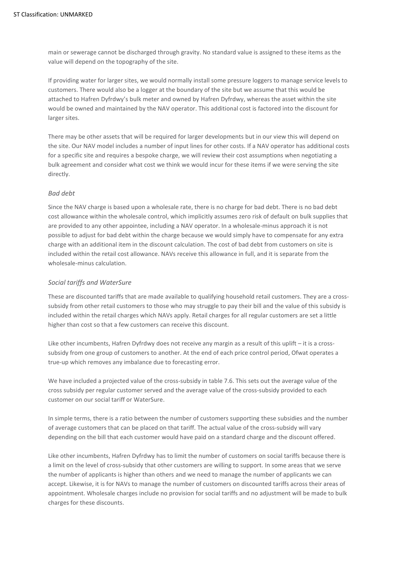main or sewerage cannot be discharged through gravity. No standard value is assigned to these items as the value will depend on the topography of the site.

If providing water for larger sites, we would normally install some pressure loggers to manage service levels to customers. There would also be a logger at the boundary of the site but we assume that this would be attached to Hafren Dyfrdwy's bulk meter and owned by Hafren Dyfrdwy, whereas the asset within the site would be owned and maintained by the NAV operator. This additional cost is factored into the discount for larger sites.

There may be other assets that will be required for larger developments but in our view this will depend on the site. Our NAV model includes a number of input lines for other costs. If a NAV operator has additional costs for a specific site and requires a bespoke charge, we will review their cost assumptions when negotiating a bulk agreement and consider what cost we think we would incur for these items if we were serving the site directly.

# *Bad debt*

Since the NAV charge is based upon a wholesale rate, there is no charge for bad debt. There is no bad debt cost allowance within the wholesale control, which implicitly assumes zero risk of default on bulk supplies that are provided to any other appointee, including a NAV operator. In a wholesale-minus approach it is not possible to adjust for bad debt within the charge because we would simply have to compensate for any extra charge with an additional item in the discount calculation. The cost of bad debt from customers on site is included within the retail cost allowance. NAVs receive this allowance in full, and it is separate from the wholesale-minus calculation.

## *Social tariffs and WaterSure*

These are discounted tariffs that are made available to qualifying household retail customers. They are a crosssubsidy from other retail customers to those who may struggle to pay their bill and the value of this subsidy is included within the retail charges which NAVs apply. Retail charges for all regular customers are set a little higher than cost so that a few customers can receive this discount.

Like other incumbents, Hafren Dyfrdwy does not receive any margin as a result of this uplift – it is a crosssubsidy from one group of customers to another. At the end of each price control period, Ofwat operates a true-up which removes any imbalance due to forecasting error.

We have included a projected value of the cross-subsidy in table 7.6. This sets out the average value of the cross subsidy per regular customer served and the average value of the cross-subsidy provided to each customer on our social tariff or WaterSure.

In simple terms, there is a ratio between the number of customers supporting these subsidies and the number of average customers that can be placed on that tariff. The actual value of the cross-subsidy will vary depending on the bill that each customer would have paid on a standard charge and the discount offered.

Like other incumbents, Hafren Dyfrdwy has to limit the number of customers on social tariffs because there is a limit on the level of cross-subsidy that other customers are willing to support. In some areas that we serve the number of applicants is higher than others and we need to manage the number of applicants we can accept. Likewise, it is for NAVs to manage the number of customers on discounted tariffs across their areas of appointment. Wholesale charges include no provision for social tariffs and no adjustment will be made to bulk charges for these discounts.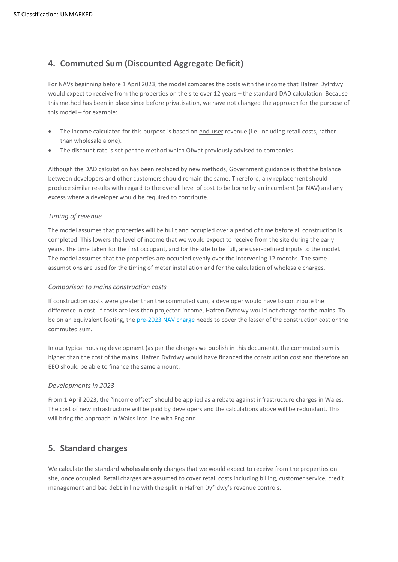# **4. Commuted Sum (Discounted Aggregate Deficit)**

For NAVs beginning before 1 April 2023, the model compares the costs with the income that Hafren Dyfrdwy would expect to receive from the properties on the site over 12 years – the standard DAD calculation. Because this method has been in place since before privatisation, we have not changed the approach for the purpose of this model – for example:

- The income calculated for this purpose is based on end-user revenue (i.e. including retail costs, rather than wholesale alone).
- The discount rate is set per the method which Ofwat previously advised to companies.

Although the DAD calculation has been replaced by new methods, Government guidance is that the balance between developers and other customers should remain the same. Therefore, any replacement should produce similar results with regard to the overall level of cost to be borne by an incumbent (or NAV) and any excess where a developer would be required to contribute.

# *Timing of revenue*

The model assumes that properties will be built and occupied over a period of time before all construction is completed. This lowers the level of income that we would expect to receive from the site during the early years. The time taken for the first occupant, and for the site to be full, are user-defined inputs to the model. The model assumes that the properties are occupied evenly over the intervening 12 months. The same assumptions are used for the timing of meter installation and for the calculation of wholesale charges.

# *Comparison to mains construction costs*

If construction costs were greater than the commuted sum, a developer would have to contribute the difference in cost. If costs are less than projected income, Hafren Dyfrdwy would not charge for the mains. To be on an equivalent footing, the pre-2023 [NAV charge](#page-2-0) needs to cover the lesser of the construction cost or the commuted sum.

In our typical housing development (as per the charges we publish in this document), the commuted sum is higher than the cost of the mains. Hafren Dyfrdwy would have financed the construction cost and therefore an EEO should be able to finance the same amount.

# *Developments in 2023*

From 1 April 2023, the "income offset" should be applied as a rebate against infrastructure charges in Wales. The cost of new infrastructure will be paid by developers and the calculations above will be redundant. This will bring the approach in Wales into line with England.

# **5. Standard charges**

We calculate the standard **wholesale only** charges that we would expect to receive from the properties on site, once occupied. Retail charges are assumed to cover retail costs including billing, customer service, credit management and bad debt in line with the split in Hafren Dyfrdwy's revenue controls.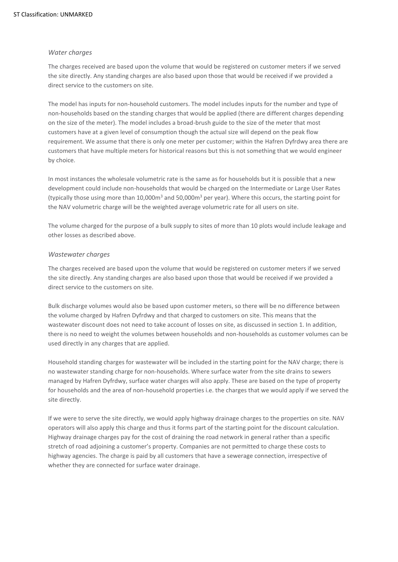## *Water charges*

The charges received are based upon the volume that would be registered on customer meters if we served the site directly. Any standing charges are also based upon those that would be received if we provided a direct service to the customers on site.

The model has inputs for non-household customers. The model includes inputs for the number and type of non-households based on the standing charges that would be applied (there are different charges depending on the size of the meter). The model includes a broad-brush guide to the size of the meter that most customers have at a given level of consumption though the actual size will depend on the peak flow requirement. We assume that there is only one meter per customer; within the Hafren Dyfrdwy area there are customers that have multiple meters for historical reasons but this is not something that we would engineer by choice.

In most instances the wholesale volumetric rate is the same as for households but it is possible that a new development could include non-households that would be charged on the Intermediate or Large User Rates (typically those using more than 10,000m<sup>3</sup> and 50,000m<sup>3</sup> per year). Where this occurs, the starting point for the NAV volumetric charge will be the weighted average volumetric rate for all users on site.

The volume charged for the purpose of a bulk supply to sites of more than 10 plots would include leakage and other losses as described above.

# *Wastewater charges*

The charges received are based upon the volume that would be registered on customer meters if we served the site directly. Any standing charges are also based upon those that would be received if we provided a direct service to the customers on site.

Bulk discharge volumes would also be based upon customer meters, so there will be no difference between the volume charged by Hafren Dyfrdwy and that charged to customers on site. This means that the wastewater discount does not need to take account of losses on site, as discussed in section 1. In addition, there is no need to weight the volumes between households and non-households as customer volumes can be used directly in any charges that are applied.

Household standing charges for wastewater will be included in the starting point for the NAV charge; there is no wastewater standing charge for non-households. Where surface water from the site drains to sewers managed by Hafren Dyfrdwy, surface water charges will also apply. These are based on the type of property for households and the area of non-household properties i.e. the charges that we would apply if we served the site directly.

If we were to serve the site directly, we would apply highway drainage charges to the properties on site. NAV operators will also apply this charge and thus it forms part of the starting point for the discount calculation. Highway drainage charges pay for the cost of draining the road network in general rather than a specific stretch of road adjoining a customer's property. Companies are not permitted to charge these costs to highway agencies. The charge is paid by all customers that have a sewerage connection, irrespective of whether they are connected for surface water drainage.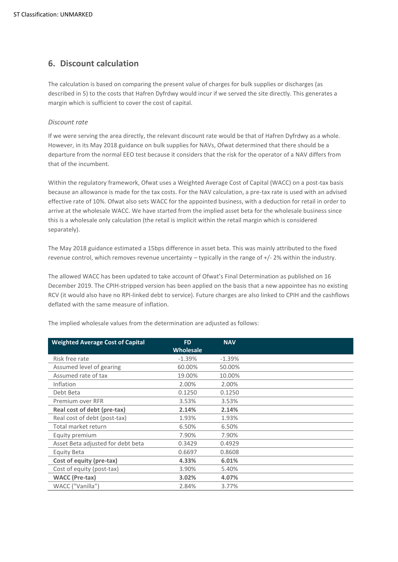# **6. Discount calculation**

The calculation is based on comparing the present value of charges for bulk supplies or discharges (as described in 5) to the costs that Hafren Dyfrdwy would incur if we served the site directly. This generates a margin which is sufficient to cover the cost of capital.

# *Discount rate*

If we were serving the area directly, the relevant discount rate would be that of Hafren Dyfrdwy as a whole. However, in its May 2018 guidance on bulk supplies for NAVs, Ofwat determined that there should be a departure from the normal EEO test because it considers that the risk for the operator of a NAV differs from that of the incumbent.

Within the regulatory framework, Ofwat uses a Weighted Average Cost of Capital (WACC) on a post-tax basis because an allowance is made for the tax costs. For the NAV calculation, a pre-tax rate is used with an advised effective rate of 10%. Ofwat also sets WACC for the appointed business, with a deduction for retail in order to arrive at the wholesale WACC. We have started from the implied asset beta for the wholesale business since this is a wholesale only calculation (the retail is implicit within the retail margin which is considered separately).

The May 2018 guidance estimated a 15bps difference in asset beta. This was mainly attributed to the fixed revenue control, which removes revenue uncertainty – typically in the range of +/- 2% within the industry.

The allowed WACC has been updated to take account of Ofwat's Final Determination as published on 16 December 2019. The CPIH-stripped version has been applied on the basis that a new appointee has no existing RCV (it would also have no RPI-linked debt to service). Future charges are also linked to CPIH and the cashflows deflated with the same measure of inflation.

| <b>Weighted Average Cost of Capital</b> | <b>FD</b>        | <b>NAV</b> |  |
|-----------------------------------------|------------------|------------|--|
|                                         | <b>Wholesale</b> |            |  |
| Risk free rate                          | $-1.39%$         | $-1.39%$   |  |
| Assumed level of gearing                | 60.00%           | 50.00%     |  |
| Assumed rate of tax                     | 19.00%           | 10.00%     |  |
| Inflation                               | 2.00%            | 2.00%      |  |
| Debt Beta                               | 0.1250           | 0.1250     |  |
| Premium over RFR                        | 3.53%            | 3.53%      |  |
| Real cost of debt (pre-tax)             | 2.14%            | 2.14%      |  |
| Real cost of debt (post-tax)            | 1.93%            | 1.93%      |  |
| Total market return                     | 6.50%            | 6.50%      |  |
| Equity premium                          | 7.90%            | 7.90%      |  |
| Asset Beta adjusted for debt beta       | 0.3429           | 0.4929     |  |
| Equity Beta                             | 0.6697           | 0.8608     |  |
| Cost of equity (pre-tax)                | 4.33%            | 6.01%      |  |
| Cost of equity (post-tax)               | 3.90%            | 5.40%      |  |
| <b>WACC</b> (Pre-tax)                   | 3.02%            | 4.07%      |  |
| WACC ("Vanilla")                        | 2.84%            | 3.77%      |  |

The implied wholesale values from the determination are adjusted as follows: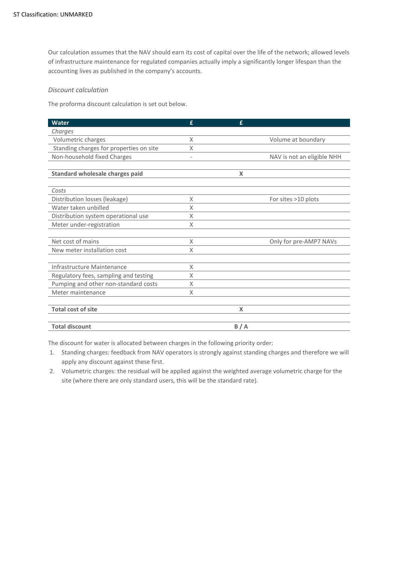Our calculation assumes that the NAV should earn its cost of capital over the life of the network; allowed levels of infrastructure maintenance for regulated companies actually imply a significantly longer lifespan than the accounting lives as published in the company's accounts.

## *Discount calculation*

The proforma discount calculation is set out below.

| <b>Water</b>                            | £                        | £   |                            |
|-----------------------------------------|--------------------------|-----|----------------------------|
| Charges                                 |                          |     |                            |
| Volumetric charges                      | X                        |     | Volume at boundary         |
| Standing charges for properties on site | X                        |     |                            |
| Non-household fixed Charges             | $\overline{\phantom{0}}$ |     | NAV is not an eligible NHH |
| Standard wholesale charges paid         |                          | X   |                            |
| Costs                                   |                          |     |                            |
| Distribution losses (leakage)           | X                        |     | For sites >10 plots        |
| Water taken unbilled                    | X                        |     |                            |
| Distribution system operational use     | X                        |     |                            |
| Meter under-registration                | X                        |     |                            |
| Net cost of mains                       | X                        |     | Only for pre-AMP7 NAVs     |
| New meter installation cost             | X                        |     |                            |
| Infrastructure Maintenance              | X                        |     |                            |
| Regulatory fees, sampling and testing   | X                        |     |                            |
| Pumping and other non-standard costs    | X                        |     |                            |
| Meter maintenance                       | Χ                        |     |                            |
|                                         |                          |     |                            |
| <b>Total cost of site</b>               |                          | X   |                            |
| <b>Total discount</b>                   |                          | B/A |                            |

The discount for water is allocated between charges in the following priority order:

- 1. Standing charges: feedback from NAV operators is strongly against standing charges and therefore we will apply any discount against these first.
- 2. Volumetric charges: the residual will be applied against the weighted average volumetric charge for the site (where there are only standard users, this will be the standard rate).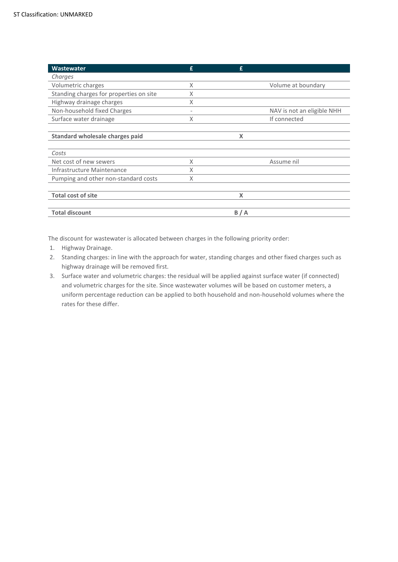| <b>Wastewater</b>                       | £ | £   |                            |
|-----------------------------------------|---|-----|----------------------------|
| Charges                                 |   |     |                            |
| Volumetric charges                      | X |     | Volume at boundary         |
| Standing charges for properties on site | X |     |                            |
| Highway drainage charges                | X |     |                            |
| Non-household fixed Charges             |   |     | NAV is not an eligible NHH |
| Surface water drainage                  | X |     | If connected               |
|                                         |   |     |                            |
| Standard wholesale charges paid         |   | X   |                            |
|                                         |   |     |                            |
| Costs                                   |   |     |                            |
| Net cost of new sewers                  | X |     | Assume nil                 |
| Infrastructure Maintenance              | X |     |                            |
| Pumping and other non-standard costs    | X |     |                            |
|                                         |   |     |                            |
| <b>Total cost of site</b>               |   | X   |                            |
|                                         |   |     |                            |
| <b>Total discount</b>                   |   | B/A |                            |

The discount for wastewater is allocated between charges in the following priority order:

- 1. Highway Drainage.
- 2. Standing charges: in line with the approach for water, standing charges and other fixed charges such as highway drainage will be removed first.
- 3. Surface water and volumetric charges: the residual will be applied against surface water (if connected) and volumetric charges for the site. Since wastewater volumes will be based on customer meters, a uniform percentage reduction can be applied to both household and non-household volumes where the rates for these differ.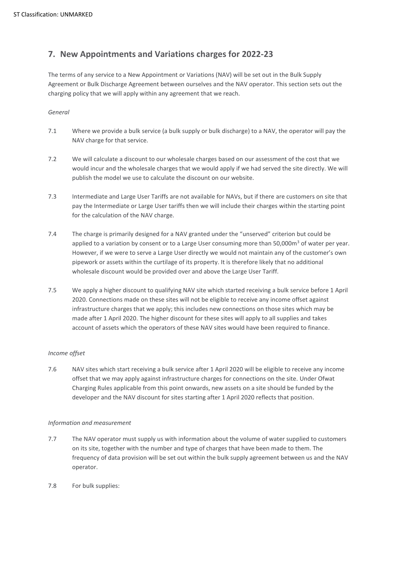# **7. New Appointments and Variations charges for 2022-23**

The terms of any service to a New Appointment or Variations (NAV) will be set out in the Bulk Supply Agreement or Bulk Discharge Agreement between ourselves and the NAV operator. This section sets out the charging policy that we will apply within any agreement that we reach.

# *General*

- 7.1 Where we provide a bulk service (a bulk supply or bulk discharge) to a NAV, the operator will pay the NAV charge for that service.
- 7.2 We will calculate a discount to our wholesale charges based on our assessment of the cost that we would incur and the wholesale charges that we would apply if we had served the site directly. We will publish the model we use to calculate the discount on our website.
- 7.3 Intermediate and Large User Tariffs are not available for NAVs, but if there are customers on site that pay the Intermediate or Large User tariffs then we will include their charges within the starting point for the calculation of the NAV charge.
- 7.4 The charge is primarily designed for a NAV granted under the "unserved" criterion but could be applied to a variation by consent or to a Large User consuming more than  $50,000\,\mathrm{m}^3$  of water per year. However, if we were to serve a Large User directly we would not maintain any of the customer's own pipework or assets within the curtilage of its property. It is therefore likely that no additional wholesale discount would be provided over and above the Large User Tariff.
- 7.5 We apply a higher discount to qualifying NAV site which started receiving a bulk service before 1 April 2020. Connections made on these sites will not be eligible to receive any income offset against infrastructure charges that we apply; this includes new connections on those sites which may be made after 1 April 2020. The higher discount for these sites will apply to all supplies and takes account of assets which the operators of these NAV sites would have been required to finance.

# *Income offset*

7.6 NAV sites which start receiving a bulk service after 1 April 2020 will be eligible to receive any income offset that we may apply against infrastructure charges for connections on the site. Under Ofwat Charging Rules applicable from this point onwards, new assets on a site should be funded by the developer and the NAV discount for sites starting after 1 April 2020 reflects that position.

#### *Information and measurement*

- 7.7 The NAV operator must supply us with information about the volume of water supplied to customers on its site, together with the number and type of charges that have been made to them. The frequency of data provision will be set out within the bulk supply agreement between us and the NAV operator.
- 7.8 For bulk supplies: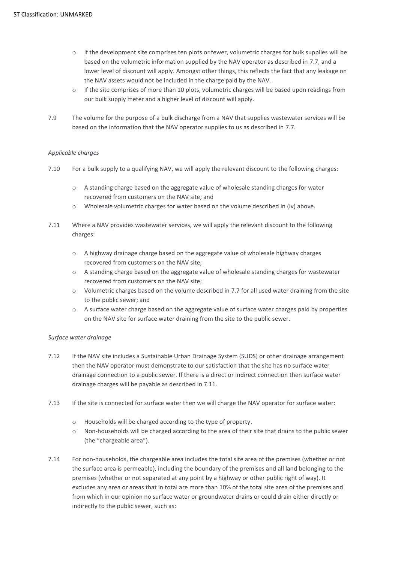- $\circ$  If the development site comprises ten plots or fewer, volumetric charges for bulk supplies will be based on the volumetric information supplied by the NAV operator as described in 7.7, and a lower level of discount will apply. Amongst other things, this reflects the fact that any leakage on the NAV assets would not be included in the charge paid by the NAV.
- $\circ$  If the site comprises of more than 10 plots, volumetric charges will be based upon readings from our bulk supply meter and a higher level of discount will apply.
- 7.9 The volume for the purpose of a bulk discharge from a NAV that supplies wastewater services will be based on the information that the NAV operator supplies to us as described in 7.7.

# *Applicable charges*

- 7.10 For a bulk supply to a qualifying NAV, we will apply the relevant discount to the following charges:
	- $\circ$  A standing charge based on the aggregate value of wholesale standing charges for water recovered from customers on the NAV site; and
	- o Wholesale volumetric charges for water based on the volume described in (iv) above.
- 7.11 Where a NAV provides wastewater services, we will apply the relevant discount to the following charges:
	- $\circ$  A highway drainage charge based on the aggregate value of wholesale highway charges recovered from customers on the NAV site;
	- o A standing charge based on the aggregate value of wholesale standing charges for wastewater recovered from customers on the NAV site;
	- $\circ$  Volumetric charges based on the volume described in 7.7 for all used water draining from the site to the public sewer; and
	- o A surface water charge based on the aggregate value of surface water charges paid by properties on the NAV site for surface water draining from the site to the public sewer.

# *Surface water drainage*

- 7.12 If the NAV site includes a Sustainable Urban Drainage System (SUDS) or other drainage arrangement then the NAV operator must demonstrate to our satisfaction that the site has no surface water drainage connection to a public sewer. If there is a direct or indirect connection then surface water drainage charges will be payable as described in 7.11.
- 7.13 If the site is connected for surface water then we will charge the NAV operator for surface water:
	- o Households will be charged according to the type of property.
	- o Non-households will be charged according to the area of their site that drains to the public sewer (the "chargeable area").
- 7.14 For non-households, the chargeable area includes the total site area of the premises (whether or not the surface area is permeable), including the boundary of the premises and all land belonging to the premises (whether or not separated at any point by a highway or other public right of way). It excludes any area or areas that in total are more than 10% of the total site area of the premises and from which in our opinion no surface water or groundwater drains or could drain either directly or indirectly to the public sewer, such as: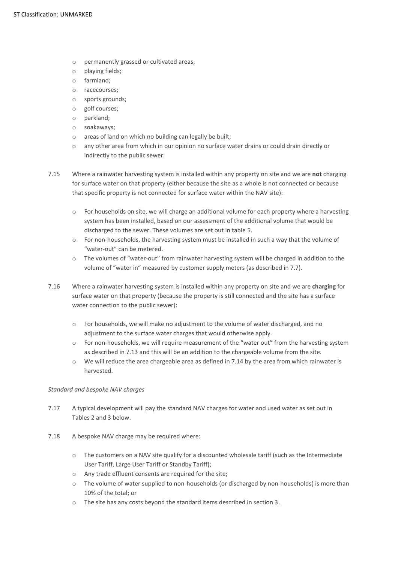- o permanently grassed or cultivated areas;
- o playing fields;
- o farmland;
- o racecourses;
- o sports grounds;
- o golf courses;
- o parkland;
- o soakaways;
- o areas of land on which no building can legally be built;
- o any other area from which in our opinion no surface water drains or could drain directly or indirectly to the public sewer.
- 7.15 Where a rainwater harvesting system is installed within any property on site and we are **not** charging for surface water on that property (either because the site as a whole is not connected or because that specific property is not connected for surface water within the NAV site):
	- $\circ$  For households on site, we will charge an additional volume for each property where a harvesting system has been installed, based on our assessment of the additional volume that would be discharged to the sewer. These volumes are set out in table 5.
	- $\circ$  For non-households, the harvesting system must be installed in such a way that the volume of "water-out" can be metered.
	- o The volumes of "water-out" from rainwater harvesting system will be charged in addition to the volume of "water in" measured by customer supply meters (as described in 7.7).
- 7.16 Where a rainwater harvesting system is installed within any property on site and we are **charging** for surface water on that property (because the property is still connected and the site has a surface water connection to the public sewer):
	- o For households, we will make no adjustment to the volume of water discharged, and no adjustment to the surface water charges that would otherwise apply.
	- $\circ$  For non-households, we will require measurement of the "water out" from the harvesting system as described in 7.13 and this will be an addition to the chargeable volume from the site.
	- $\circ$  We will reduce the area chargeable area as defined in 7.14 by the area from which rainwater is harvested.

#### *Standard and bespoke NAV charges*

- 7.17 A typical development will pay the standard NAV charges for water and used water as set out in Tables 2 and 3 below.
- 7.18 A bespoke NAV charge may be required where:
	- o The customers on a NAV site qualify for a discounted wholesale tariff (such as the Intermediate User Tariff, Large User Tariff or Standby Tariff);
	- o Any trade effluent consents are required for the site;
	- o The volume of water supplied to non-households (or discharged by non-households) is more than 10% of the total; or
	- o The site has any costs beyond the standard items described in section 3.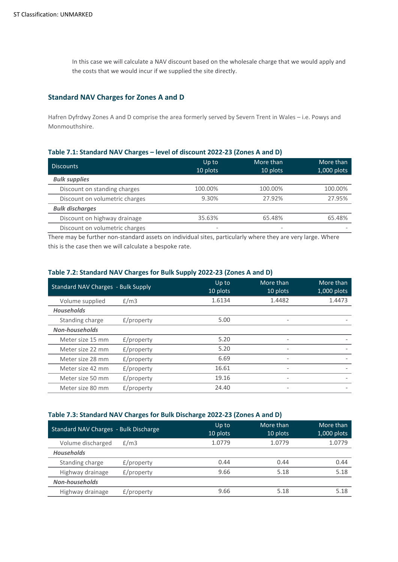In this case we will calculate a NAV discount based on the wholesale charge that we would apply and the costs that we would incur if we supplied the site directly.

# **Standard NAV Charges for Zones A and D**

Hafren Dyfrdwy Zones A and D comprise the area formerly served by Severn Trent in Wales – i.e. Powys and Monmouthshire.

# **Table 7.1: Standard NAV Charges – level of discount 2022-23 (Zones A and D)**

| <b>Discounts</b>               | Up to<br>10 plots            | More than<br>10 plots    | More than<br>1,000 plots |
|--------------------------------|------------------------------|--------------------------|--------------------------|
| <b>Bulk supplies</b>           |                              |                          |                          |
| Discount on standing charges   | 100.00%                      | 100.00%                  | 100.00%                  |
| Discount on volumetric charges | 9.30%                        | 27.92%                   | 27.95%                   |
| <b>Bulk discharges</b>         |                              |                          |                          |
| Discount on highway drainage   | 35.63%                       | 65.48%                   | 65.48%                   |
| Discount on volumetric charges | $\qquad \qquad \blacksquare$ | $\overline{\phantom{a}}$ |                          |

There may be further non-standard assets on individual sites, particularly where they are very large. Where this is the case then we will calculate a bespoke rate.

# **Table 7.2: Standard NAV Charges for Bulk Supply 2022-23 (Zones A and D)**

| <b>Standard NAV Charges - Bulk Supply</b> |               | Up to<br>10 plots | More than<br>10 plots    | More than<br>$1,000$ plots |
|-------------------------------------------|---------------|-------------------|--------------------------|----------------------------|
| Volume supplied                           | E/m3          | 1.6134            | 1.4482                   | 1.4473                     |
| <b>Households</b>                         |               |                   |                          |                            |
| Standing charge                           | $f$ /property | 5.00              |                          |                            |
| <b>Non-households</b>                     |               |                   |                          |                            |
| Meter size 15 mm                          | $f$ /property | 5.20              | $\overline{\phantom{a}}$ |                            |
| Meter size 22 mm                          | $f$ /property | 5.20              | $\overline{\phantom{a}}$ |                            |
| Meter size 28 mm                          | $f$ /property | 6.69              |                          |                            |
| Meter size 42 mm                          | $f$ /property | 16.61             |                          |                            |
| Meter size 50 mm                          | $f$ /property | 19.16             | $\overline{\phantom{a}}$ |                            |
| Meter size 80 mm                          | $f$ /property | 24.40             |                          |                            |

# **Table 7.3: Standard NAV Charges for Bulk Discharge 2022-23 (Zones A and D)**

| Standard NAV Charges - Bulk Discharge |            | Up to<br>10 plots | More than<br>10 plots | More than<br>$1,000$ plots |
|---------------------------------------|------------|-------------------|-----------------------|----------------------------|
| Volume discharged                     | E/m3       | 1.0779            | 1.0779                | 1.0779                     |
| <b>Households</b>                     |            |                   |                       |                            |
| Standing charge                       | £/property | 0.44              | 0.44                  | 0.44                       |
| Highway drainage                      | £/property | 9.66              | 5.18                  | 5.18                       |
| <b>Non-households</b>                 |            |                   |                       |                            |
| Highway drainage                      | £/property | 9.66              | 5.18                  | 5.18                       |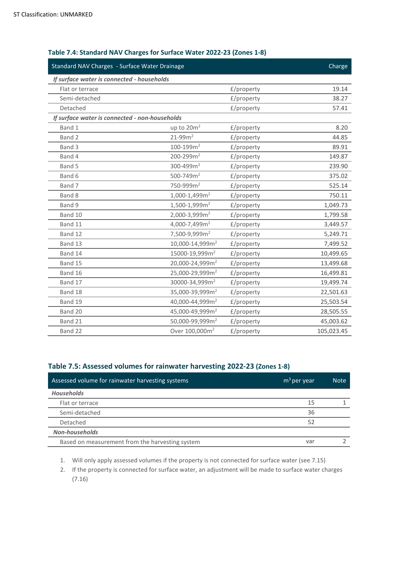| Standard NAV Charges - Surface Water Drainage  |                                |            | Charge     |
|------------------------------------------------|--------------------------------|------------|------------|
| If surface water is connected - households     |                                |            |            |
| Flat or terrace                                |                                | £/property | 19.14      |
| Semi-detached                                  |                                | £/property | 38.27      |
| Detached                                       |                                | £/property | 57.41      |
| If surface water is connected - non-households |                                |            |            |
| Band 1                                         | up to 20m <sup>2</sup>         | £/property | 8.20       |
| Band 2                                         | 21-99m <sup>2</sup>            | £/property | 44.85      |
| Band 3                                         | $100 - 199m2$                  | £/property | 89.91      |
| Band 4                                         | 200-299m <sup>2</sup>          | £/property | 149.87     |
| Band 5                                         | 300-499m <sup>2</sup>          | £/property | 239.90     |
| Band 6                                         | 500-749m <sup>2</sup>          | £/property | 375.02     |
| Band 7                                         | 750-999m <sup>2</sup>          | £/property | 525.14     |
| Band 8                                         | $1,000 - 1,499$ m <sup>2</sup> | £/property | 750.11     |
| Band 9                                         | 1,500-1,999m <sup>2</sup>      | £/property | 1,049.73   |
| Band 10                                        | 2,000-3,999m <sup>2</sup>      | £/property | 1,799.58   |
| Band 11                                        | 4,000-7,499m <sup>2</sup>      | £/property | 3,449.57   |
| Band 12                                        | 7,500-9,999m <sup>2</sup>      | £/property | 5,249.71   |
| Band 13                                        | 10,000-14,999m <sup>2</sup>    | £/property | 7,499.52   |
| Band 14                                        | 15000-19,999m <sup>2</sup>     | £/property | 10,499.65  |
| Band 15                                        | 20,000-24,999m <sup>2</sup>    | £/property | 13,499.68  |
| Band 16                                        | 25,000-29,999m <sup>2</sup>    | £/property | 16,499.81  |
| Band 17                                        | 30000-34,999m <sup>2</sup>     | £/property | 19,499.74  |
| Band 18                                        | 35,000-39,999m <sup>2</sup>    | £/property | 22,501.63  |
| Band 19                                        | 40,000-44,999m <sup>2</sup>    | £/property | 25,503.54  |
| Band 20                                        | 45,000-49,999m <sup>2</sup>    | £/property | 28,505.55  |
| Band 21                                        | 50,000-99,999m <sup>2</sup>    | £/property | 45,003.62  |
| Band 22                                        | Over 100,000m <sup>2</sup>     | £/property | 105,023.45 |
|                                                |                                |            |            |

# **Table 7.4: Standard NAV Charges for Surface Water 2022-23 (Zones 1-8)**

# **Table 7.5: Assessed volumes for rainwater harvesting 2022-23 (Zones 1-8)**

| Assessed volume for rainwater harvesting systems | $m3$ per year | <b>Note</b> |
|--------------------------------------------------|---------------|-------------|
| <b>Households</b>                                |               |             |
| Flat or terrace                                  | 15            |             |
| Semi-detached                                    | 36            |             |
| Detached                                         | 52            |             |
| Non-households                                   |               |             |
| Based on measurement from the harvesting system  | var           |             |

1. Will only apply assessed volumes if the property is not connected for surface water (see 7.15)

2. If the property is connected for surface water, an adjustment will be made to surface water charges (7.16)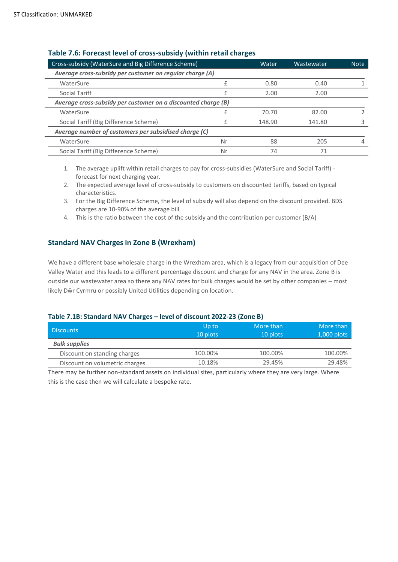| Cross-subsidy (WaterSure and Big Difference Scheme)           |    | Water  | Wastewater | <b>Note</b> |
|---------------------------------------------------------------|----|--------|------------|-------------|
| Average cross-subsidy per customer on regular charge (A)      |    |        |            |             |
| WaterSure                                                     |    | 0.80   | 0.40       |             |
| Social Tariff                                                 |    | 2.00   | 2.00       |             |
| Average cross-subsidy per customer on a discounted charge (B) |    |        |            |             |
| WaterSure                                                     |    | 70.70  | 82.00      |             |
| Social Tariff (Big Difference Scheme)                         |    | 148.90 | 141.80     |             |
| Average number of customers per subsidised charge (C)         |    |        |            |             |
| WaterSure                                                     | Nr | 88     | 205        |             |
| Social Tariff (Big Difference Scheme)                         | Nr |        | 71         |             |

# **Table 7.6: Forecast level of cross-subsidy (within retail charges**

1. The average uplift within retail charges to pay for cross-subsidies (WaterSure and Social Tariff) forecast for next charging year.

- 2. The expected average level of cross-subsidy to customers on discounted tariffs, based on typical characteristics.
- 3. For the Big Difference Scheme, the level of subsidy will also depend on the discount provided. BDS charges are 10-90% of the average bill.
- 4. This is the ratio between the cost of the subsidy and the contribution per customer (B/A)

# **Standard NAV Charges in Zone B (Wrexham)**

We have a different base wholesale charge in the Wrexham area, which is a legacy from our acquisition of Dee Valley Water and this leads to a different percentage discount and charge for any NAV in the area. Zone B is outside our wastewater area so there any NAV rates for bulk charges would be set by other companies – most likely Dŵr Cyrmru or possibly United Utilities depending on location.

# **Table 7.1B: Standard NAV Charges – level of discount 2022-23 (Zone B)**

| <b>Discounts</b>               | Up to<br>10 plots | More than<br>10 plots | More than<br>1,000 plots |
|--------------------------------|-------------------|-----------------------|--------------------------|
| <b>Bulk supplies</b>           |                   |                       |                          |
| Discount on standing charges   | 100.00%           | 100.00%               | 100.00%                  |
| Discount on volumetric charges | 10.18%            | 29.45%                | 29.48%                   |

There may be further non-standard assets on individual sites, particularly where they are very large. Where this is the case then we will calculate a bespoke rate.